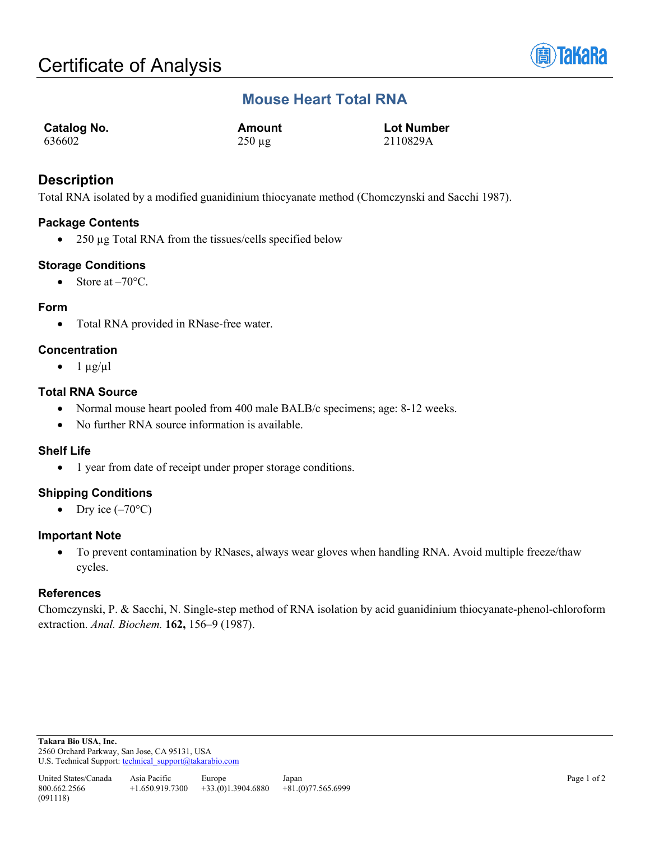

## **Mouse Heart Total RNA**

| <b>Catalog No.</b> | Amount      | <b>Lot Number</b> |
|--------------------|-------------|-------------------|
| 636602             | $250 \mu g$ | 2110829A          |

## **Description**

Total RNA isolated by a modified guanidinium thiocyanate method (Chomczynski and Sacchi 1987).

### **Package Contents**

• 250 µg Total RNA from the tissues/cells specified below

#### **Storage Conditions**

• Store at  $-70^{\circ}$ C.

#### **Form**

• Total RNA provided in RNase-free water.

#### **Concentration**

 $\bullet$  1  $\mu$ g/ $\mu$ l

#### **Total RNA Source**

- Normal mouse heart pooled from 400 male BALB/c specimens; age: 8-12 weeks.
- No further RNA source information is available.

#### **Shelf Life**

• 1 year from date of receipt under proper storage conditions.

### **Shipping Conditions**

• Dry ice  $(-70^{\circ}C)$ 

#### **Important Note**

• To prevent contamination by RNases, always wear gloves when handling RNA. Avoid multiple freeze/thaw cycles.

#### **References**

Chomczynski, P. & Sacchi, N. Single-step method of RNA isolation by acid guanidinium thiocyanate-phenol-chloroform extraction. *Anal. Biochem.* **162,** 156–9 (1987).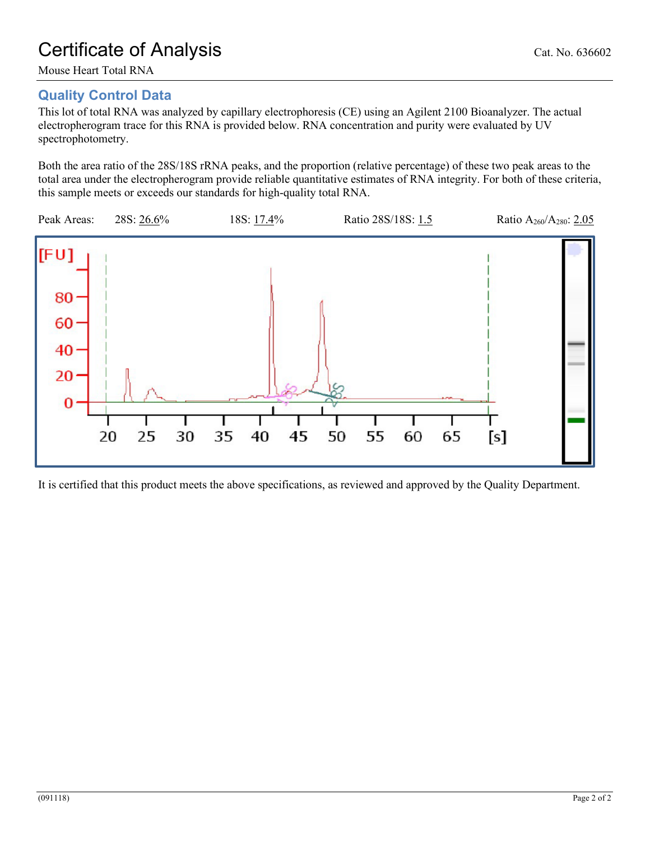# Certificate of Analysis Cat. No. 636602

Mouse Heart Total RNA

## **Quality Control Data**

This lot of total RNA was analyzed by capillary electrophoresis (CE) using an Agilent 2100 Bioanalyzer. The actual electropherogram trace for this RNA is provided below. RNA concentration and purity were evaluated by UV spectrophotometry.

Both the area ratio of the 28S/18S rRNA peaks, and the proportion (relative percentage) of these two peak areas to the total area under the electropherogram provide reliable quantitative estimates of RNA integrity. For both of these criteria, this sample meets or exceeds our standards for high-quality total RNA.



It is certified that this product meets the above specifications, as reviewed and approved by the Quality Department.